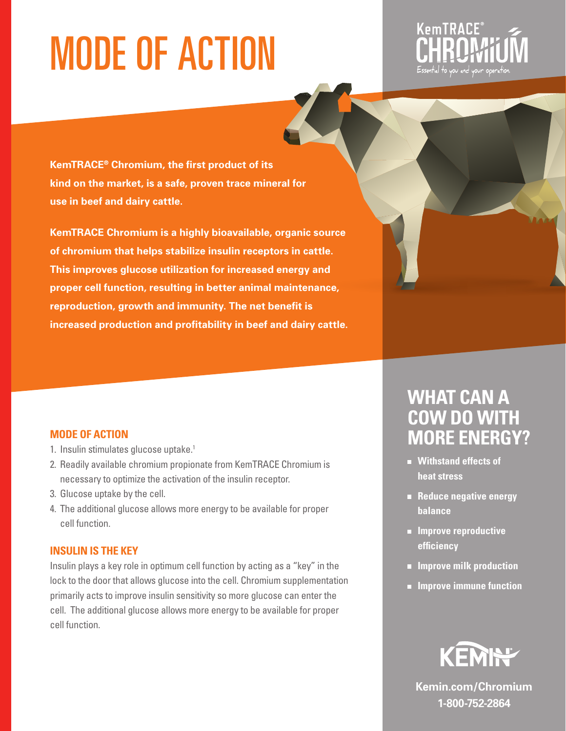# MODE OF ACTION



**KemTRACE® Chromium, the first product of its kind on the market, is a safe, proven trace mineral for use in beef and dairy cattle.** 

**KemTRACE Chromium is a highly bioavailable, organic source of chromium that helps stabilize insulin receptors in cattle. This improves glucose utilization for increased energy and proper cell function, resulting in better animal maintenance, reproduction, growth and immunity. The net benefit is increased production and profitability in beef and dairy cattle.**

#### **MODE OF ACTION**

- 1. Insulin stimulates glucose uptake.<sup>1</sup>
- 2. Readily available chromium propionate from KemTRACE Chromium is necessary to optimize the activation of the insulin receptor.
- 3. Glucose uptake by the cell.
- 4. The additional glucose allows more energy to be available for proper cell function.

#### **INSULIN IS THE KEY**

Insulin plays a key role in optimum cell function by acting as a "key" in the lock to the door that allows glucose into the cell. Chromium supplementation primarily acts to improve insulin sensitivity so more glucose can enter the cell. The additional glucose allows more energy to be available for proper cell function.

### **WHAT CAN A COW DO WITH MORE ENERGY?**

- **Withstand effects of heat stress**
- **Reduce negative energy balance**
- **Example 20 Improve reproductive efficiency**
- **Improve milk production**
- $\blacksquare$  Improve immune function



**Kemin.com/Chromium 1-800-752-2864**